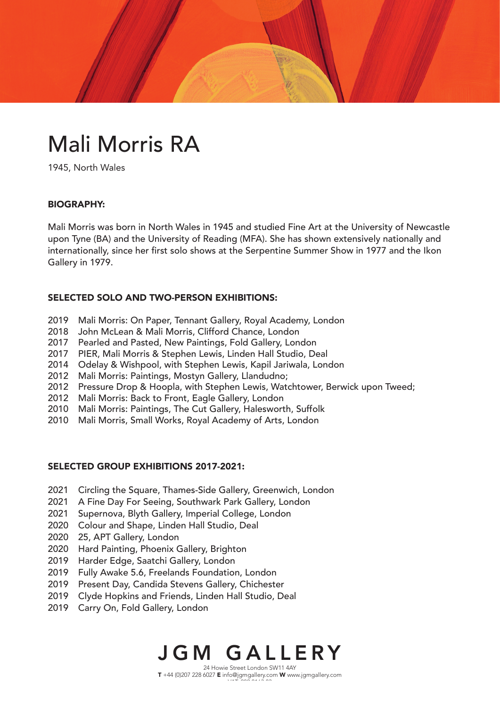# Mali Morris RA

1945, North Wales

#### BIOGRAPHY:

Mali Morris was born in North Wales in 1945 and studied Fine Art at the University of Newcastle upon Tyne (BA) and the University of Reading (MFA). She has shown extensively nationally and internationally, since her first solo shows at the Serpentine Summer Show in 1977 and the Ikon Gallery in 1979.

## SELECTED SOLO AND TWO-PERSON EXHIBITIONS:

- 2019 Mali Morris: On Paper, Tennant Gallery, Royal Academy, London
- 2018 John McLean & Mali Morris, Clifford Chance, London
- 2017 Pearled and Pasted, New Paintings, Fold Gallery, London
- 2017 PIER, Mali Morris & Stephen Lewis, Linden Hall Studio, Deal
- 2014 Odelay & Wishpool, with Stephen Lewis, Kapil Jariwala, London
- 2012 Mali Morris: Paintings, Mostyn Gallery, Llandudno;
- 2012 Pressure Drop & Hoopla, with Stephen Lewis, Watchtower, Berwick upon Tweed;
- 2012 Mali Morris: Back to Front, Eagle Gallery, London
- 2010 Mali Morris: Paintings, The Cut Gallery, Halesworth, Suffolk
- 2010 Mali Morris, Small Works, Royal Academy of Arts, London

#### SELECTED GROUP EXHIBITIONS 2017-2021:

- 2021 Circling the Square, Thames-Side Gallery, Greenwich, London
- 2021 A Fine Day For Seeing, Southwark Park Gallery, London
- 2021 Supernova, Blyth Gallery, Imperial College, London
- 2020 Colour and Shape, Linden Hall Studio, Deal
- 2020 25, APT Gallery, London
- 2020 Hard Painting, Phoenix Gallery, Brighton
- 2019 Harder Edge, Saatchi Gallery, London
- 2019 Fully Awake 5.6, Freelands Foundation, London
- 2019 Present Day, Candida Stevens Gallery, Chichester
- 2019 Clyde Hopkins and Friends, Linden Hall Studio, Deal
- 2019 Carry On, Fold Gallery, London

# JGM GALLERY

24 Howie Street London SW11 4AY T +44 (0)207 228 6027 E info@jgmgallery.com W www.jgmgallery.com  $\cdots$  202 0163 83